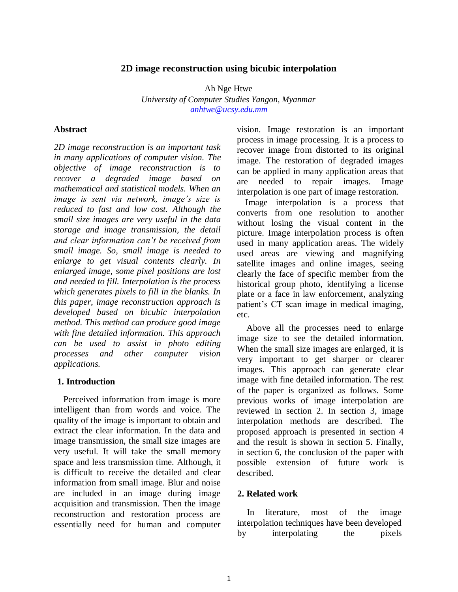### **2D image reconstruction using bicubic interpolation**

Ah Nge Htwe *University of Computer Studies Yangon, Myanmar [anhtwe@ucsy.edu.mm](mailto:anhtwe@ucsy.edu.mm)*

### **Abstract**

*2D image reconstruction is an important task in many applications of computer vision. The objective of image reconstruction is to recover a degraded image based on mathematical and statistical models. When an image is sent via network, image's size is reduced to fast and low cost. Although the small size images are very useful in the data storage and image transmission, the detail and clear information can't be received from small image. So, small image is needed to enlarge to get visual contents clearly. In enlarged image, some pixel positions are lost and needed to fill. Interpolation is the process which generates pixels to fill in the blanks. In this paper, image reconstruction approach is developed based on bicubic interpolation method. This method can produce good image with fine detailed information. This approach can be used to assist in photo editing processes and other computer vision applications.*

### **1. Introduction**

Perceived information from image is more intelligent than from words and voice. The quality of the image is important to obtain and extract the clear information. In the data and image transmission, the small size images are very useful. It will take the small memory space and less transmission time. Although, it is difficult to receive the detailed and clear information from small image. Blur and noise are included in an image during image acquisition and transmission. Then the image reconstruction and restoration process are essentially need for human and computer

vision. Image restoration is an important process in image processing. It is a process to recover image from distorted to its original image. The restoration of degraded images can be applied in many application areas that are needed to repair images. Image interpolation is one part of image restoration.

 Image interpolation is a process that converts from one resolution to another without losing the visual content in the picture. Image interpolation process is often used in many application areas. The widely used areas are viewing and magnifying satellite images and online images, seeing clearly the face of specific member from the historical group photo, identifying a license plate or a face in law enforcement, analyzing patient's CT scan image in medical imaging, etc.

Above all the processes need to enlarge image size to see the detailed information. When the small size images are enlarged, it is very important to get sharper or clearer images. This approach can generate clear image with fine detailed information. The rest of the paper is organized as follows. Some previous works of image interpolation are reviewed in section 2. In section 3, image interpolation methods are described. The proposed approach is presented in section 4 and the result is shown in section 5. Finally, in section 6, the conclusion of the paper with possible extension of future work is described.

### **2. Related work**

In literature, most of the image interpolation techniques have been developed by interpolating the pixels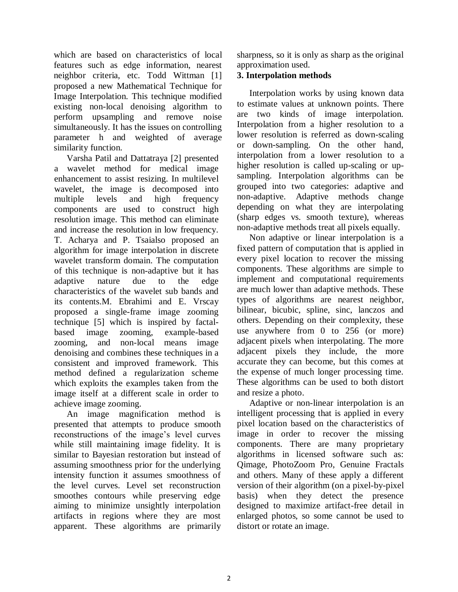which are based on characteristics of local features such as edge information, nearest neighbor criteria, etc. Todd Wittman [1] proposed a new Mathematical Technique for Image Interpolation. This technique modified existing non-local denoising algorithm to perform upsampling and remove noise simultaneously. It has the issues on controlling parameter h and weighted of average similarity function.

Varsha Patil and Dattatraya [2] presented a wavelet method for medical image enhancement to assist resizing. In multilevel wavelet, the image is decomposed into multiple levels and high frequency components are used to construct high resolution image. This method can eliminate and increase the resolution in low frequency. T. Acharya and P. Tsaialso proposed an algorithm for image interpolation in discrete wavelet transform domain. The computation of this technique is non-adaptive but it has adaptive nature due to the edge characteristics of the wavelet sub bands and its contents.M. Ebrahimi and E. Vrscay proposed a single-frame image zooming technique [5] which is inspired by factalbased image zooming, example-based zooming, and non-local means image denoising and combines these techniques in a consistent and improved framework. This method defined a regularization scheme which exploits the examples taken from the image itself at a different scale in order to achieve image zooming.

An image magnification method is presented that attempts to produce smooth reconstructions of the image's level curves while still maintaining image fidelity. It is similar to Bayesian restoration but instead of assuming smoothness prior for the underlying intensity function it assumes smoothness of the level curves. Level set reconstruction smoothes contours while preserving edge aiming to minimize unsightly interpolation artifacts in regions where they are most apparent. These algorithms are primarily sharpness, so it is only as sharp as the original approximation used.

## **3. Interpolation methods**

Interpolation works by using known data to estimate values at unknown points. There are two kinds of image interpolation. Interpolation from a higher resolution to a lower resolution is referred as down-scaling or down-sampling. On the other hand, interpolation from a lower resolution to a higher resolution is called up-scaling or upsampling. Interpolation algorithms can be grouped into two categories: adaptive and non-adaptive. Adaptive methods change depending on what they are interpolating (sharp edges vs. smooth texture), whereas non-adaptive methods treat all pixels equally.

Non adaptive or linear interpolation is a fixed pattern of computation that is applied in every pixel location to recover the missing components. These algorithms are simple to implement and computational requirements are much lower than adaptive methods. These types of algorithms are nearest neighbor, bilinear, bicubic, spline, sinc, lanczos and others. Depending on their complexity, these use anywhere from 0 to 256 (or more) adjacent pixels when interpolating. The more adjacent pixels they include, the more accurate they can become, but this comes at the expense of much longer processing time. These algorithms can be used to both distort and resize a photo.

Adaptive or non-linear interpolation is an intelligent processing that is applied in every pixel location based on the characteristics of image in order to recover the missing components. There are many proprietary algorithms in licensed software such as: Qimage, PhotoZoom Pro, Genuine Fractals and others. Many of these apply a different version of their algorithm (on a pixel-by-pixel basis) when they detect the presence designed to maximize artifact-free detail in enlarged photos, so some cannot be used to distort or rotate an image.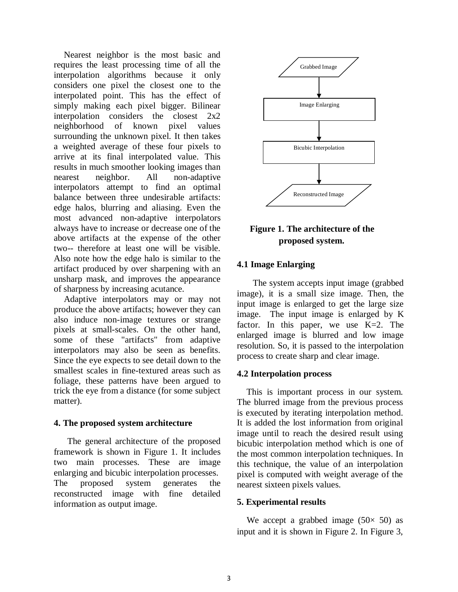Nearest neighbor is the most basic and requires the least processing time of all the interpolation algorithms because it only considers one pixel the closest one to the interpolated point. This has the effect of simply making each pixel bigger. Bilinear interpolation considers the closest 2x2 neighborhood of known pixel values surrounding the unknown pixel. It then takes a weighted average of these four pixels to arrive at its final interpolated value. This results in much smoother looking images than nearest neighbor. All non-adaptive interpolators attempt to find an optimal balance between three undesirable artifacts: edge halos, blurring and aliasing. Even the most advanced non-adaptive interpolators always have to increase or decrease one of the above artifacts at the expense of the other two-- therefore at least one will be visible. Also note how the edge halo is similar to the artifact produced by over sharpening with an unsharp mask, and improves the appearance of sharpness by increasing acutance.

Adaptive interpolators may or may not produce the above artifacts; however they can also induce non-image textures or strange pixels at small-scales. On the other hand, some of these "artifacts" from adaptive interpolators may also be seen as benefits. Since the eye expects to see detail down to the smallest scales in fine-textured areas such as foliage, these patterns have been argued to trick the eye from a distance (for some subject matter).

### **4. The proposed system architecture**

The general architecture of the proposed framework is shown in Figure 1. It includes two main processes. These are image enlarging and bicubic interpolation processes. The proposed system generates the reconstructed image with fine detailed information as output image.



# **Figure 1. The architecture of the proposed system.**

## **4.1 Image Enlarging**

The system accepts input image (grabbed image), it is a small size image. Then, the input image is enlarged to get the large size image. The input image is enlarged by K factor. In this paper, we use K=2. The enlarged image is blurred and low image resolution. So, it is passed to the interpolation process to create sharp and clear image.

## **4.2 Interpolation process**

This is important process in our system. The blurred image from the previous process is executed by iterating interpolation method. It is added the lost information from original image until to reach the desired result using bicubic interpolation method which is one of the most common interpolation techniques. In this technique, the value of an interpolation pixel is computed with weight average of the nearest sixteen pixels values.

## **5. Experimental results**

We accept a grabbed image  $(50 \times 50)$  as input and it is shown in Figure 2. In Figure 3,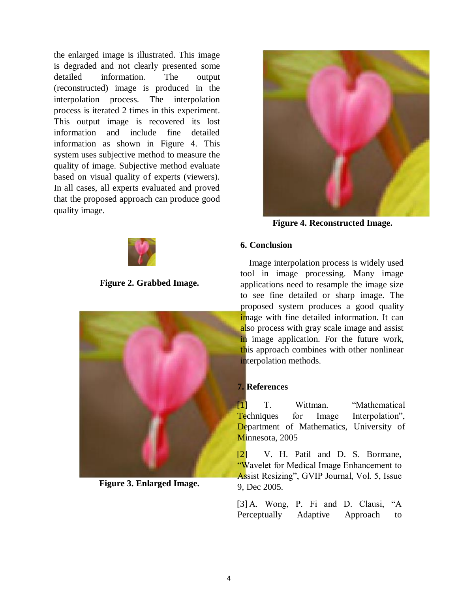the enlarged image is illustrated. This image is degraded and not clearly presented some detailed information. The output (reconstructed) image is produced in the interpolation process. The interpolation process is iterated 2 times in this experiment. This output image is recovered its lost information and include fine detailed information as shown in Figure 4. This system uses subjective method to measure the quality of image. Subjective method evaluate based on visual quality of experts (viewers). In all cases, all experts evaluated and proved that the proposed approach can produce good quality image.



**Figure 2. Grabbed Image.**



**Figure 3. Enlarged Image.**



**Figure 4. Reconstructed Image.**

## **6. Conclusion**

Image interpolation process is widely used tool in image processing. Many image applications need to resample the image size to see fine detailed or sharp image. The proposed system produces a good quality image with fine detailed information. It can also process with gray scale image and assist in image application. For the future work, this approach combines with other nonlinear interpolation methods.

### **7. References**

[1] T. Wittman. "Mathematical Techniques for Image Interpolation", Department of Mathematics, University of Minnesota, 2005

[2] V. H. Patil and D. S. Bormane, "Wavelet for Medical Image Enhancement to Assist Resizing", GVIP Journal, Vol. 5, Issue 9, Dec 2005.

[3] A. Wong, P. Fi and D. Clausi, "A Perceptually Adaptive Approach to